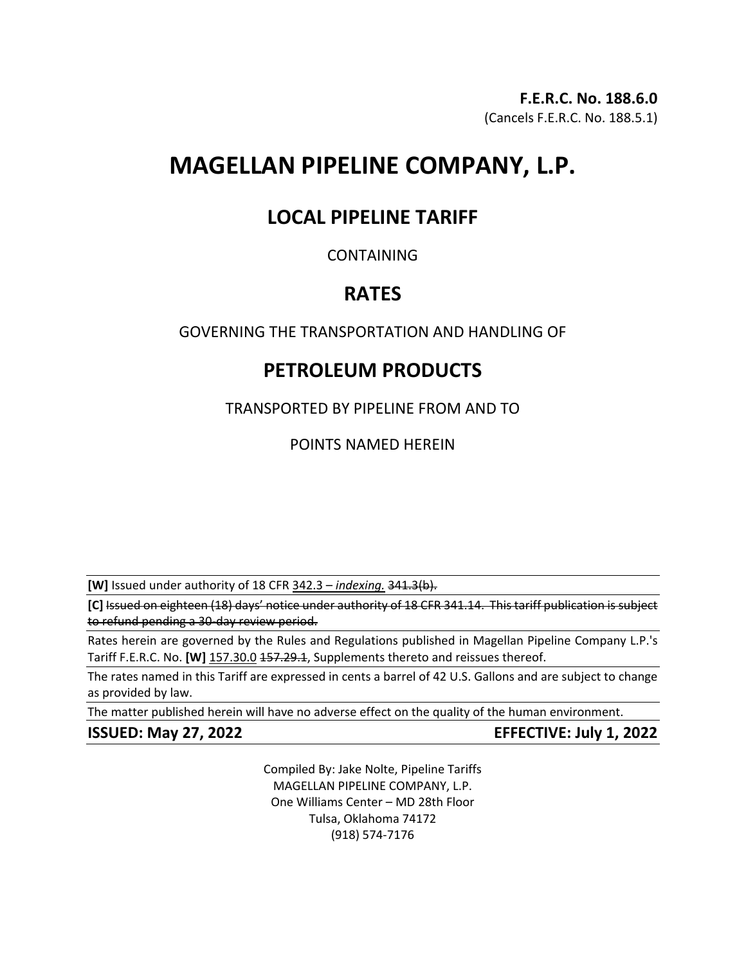# **MAGELLAN PIPELINE COMPANY, L.P.**

## **LOCAL PIPELINE TARIFF**

### CONTAINING

## **RATES**

## GOVERNING THE TRANSPORTATION AND HANDLING OF

# **PETROLEUM PRODUCTS**

TRANSPORTED BY PIPELINE FROM AND TO

POINTS NAMED HEREIN

**[W]** Issued under authority of 18 CFR 342.3 – *indexing.* 341.3(b).

**[C]** Issued on eighteen (18) days' notice under authority of 18 CFR 341.14. This tariff publication is subject to refund pending a 30-day review period.

Rates herein are governed by the Rules and Regulations published in Magellan Pipeline Company L.P.'s Tariff F.E.R.C. No. [W] 157.30.0 157.29.1, Supplements thereto and reissues thereof.

The rates named in this Tariff are expressed in cents a barrel of 42 U.S. Gallons and are subject to change as provided by law.

The matter published herein will have no adverse effect on the quality of the human environment.

**ISSUED: May 27, 2022 EFFECTIVE: July 1, 2022**

Compiled By: Jake Nolte, Pipeline Tariffs MAGELLAN PIPELINE COMPANY, L.P. One Williams Center – MD 28th Floor Tulsa, Oklahoma 74172 (918) 574-7176